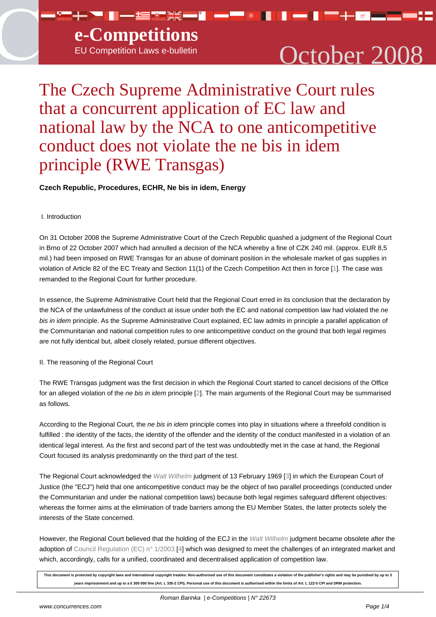# EU Competition Laws e-bulletin  $\qquad\qquad$   $\qquad$   $\qquad$   $\qquad$   $\qquad$   $\qquad$   $\qquad$   $\qquad$   $\qquad$   $\qquad$   $\qquad$   $\qquad$   $\qquad$   $\qquad$   $\qquad$   $\qquad$   $\qquad$   $\qquad$   $\qquad$   $\qquad$   $\qquad$   $\qquad$   $\qquad$   $\qquad$   $\qquad$   $\qquad$   $\qquad$   $\qquad$   $\qquad$   $\qquad$   $\qquad$

# The Czech Supreme Administrative Court rules that a concurrent application of EC law and national law by the NCA to one anticompetitive conduct does not violate the ne bis in idem principle (RWE Transgas)

## **Czech Republic, Procedures, ECHR, Ne bis in idem, Energy**

### I. Introduction

On 31 October 2008 the Supreme Administrative Court of the Czech Republic quashed a judgment of the Regional Court in Brno of 22 October 2007 which had annulled a decision of the NCA whereby a fine of CZK 240 mil. (approx. EUR 8,5 mil.) had been imposed on RWE Transgas for an abuse of dominant position in the wholesale market of gas supplies in violation of Article 82 of the EC Treaty and Section 11(1) of the Czech Competition Act then in force [1]. The case was remanded to the Regional Court for further procedure.

In essence, the Supreme Administrative Court held that the Regional Court erred in its conclusion that the declaration by the NCA of the unlawfulness of the conduct at issue under both the EC and national competition law [ha](#nb1)d violated the ne bis in idem principle. As the Supreme Administrative Court explained, EC law admits in principle a parallel application of the Communitarian and national competition rules to one anticompetitive conduct on the ground that both legal regimes are not fully identical but, albeit closely related, pursue different objectives.

II. The reasoning of the Regional Court

The RWE Transgas judgment was the first decision in which the Regional Court started to cancel decisions of the Office for an alleged violation of the ne bis in idem principle [2]. The main arguments of the Regional Court may be summarised as follows.

According to the Regional Court, the ne bis in idem principle comes into play in situations where a threefold condition is fulfilled : the id[en](#nb2)tity of the facts, the identity of the offender and the identity of the conduct manifested in a violation of an identical legal interest. As the first and second part of the test was undoubtedly met in the case at hand, the Regional Court focused its analysis predominantly on the third part of the test.

The Regional Court acknowledged the Walt Wilhelm judgment of 13 February 1969 [3] in which the European Court of Justice (the "ECJ") held that one anticompetitive conduct may be the object of two parallel proceedings (conducted under the Communitarian and under the national competition laws) because both legal regimes safeguard different objectives: whereas the former aims at the elimina[tion of trade b](http://eur-lex.europa.eu/LexUriServ/LexUriServ.do?uri=CELEX:61968J0014:EN:HTML)arriers among the EU Member [St](#nb3)ates, the latter protects solely the interests of the State concerned.

However, the Regional Court believed that the holding of the ECJ in the Walt Wilhelm judgment became obsolete after the adoption of Council Regulation (EC) n° 1/2003 [4] which was designed to meet the challenges of an integrated market and which, accordingly, calls for a unified, coordinated and decentralised application of competition law.

**This document is protected by copyright laws and international copyright treaties. Non-authorised use of this docume[nt constitutes a violatio](http://eur-lex.europa.eu/LexUriServ/LexUriServ.do?uri=CELEX:61968J0014:EN:HTML)n of the publisher's rights and may be punished by up to 3** [years imprisonment and up to a € 300 000 fine \(Art. L 335-2](http://europa.eu.int/smartapi/cgi/sga_doc?smartapi!celexplus!prod!CELEXnumdoc&lg=en&numdoc=32003R0001) [CP](#nb4)I). Personal use of this document is authorised within the limits of Art. L 122-5 CPI and DRM protection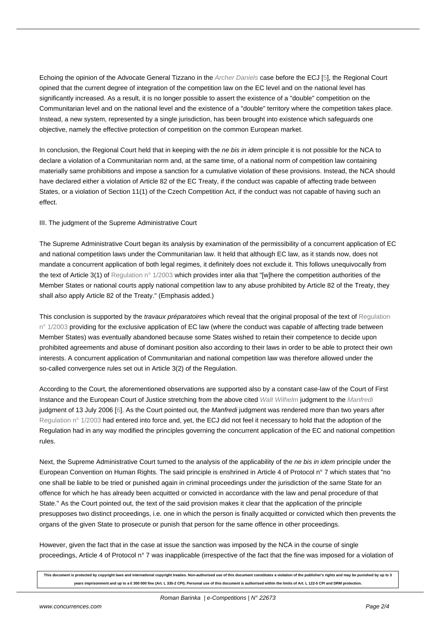Echoing the opinion of the Advocate General Tizzano in the Archer Daniels case before the ECJ [5], the Regional Court opined that the current degree of integration of the competition law on the EC level and on the national level has significantly increased. As a result, it is no longer possible to assert the existence of a "double" competition on the Communitarian level and on the national level and the existence of a "double" territory where the competition takes place. Instead, a new system, represented by a single jurisdiction, [has been broug](http://curia.europa.eu/jurisp/cgi-bin/form.pl?lang=en&Submit=Rechercher&docrequire=judgements&numaff=C-397/03)ht into existence whic[h](#nb5) safeguards one objective, namely the effective protection of competition on the common European market.

In conclusion, the Regional Court held that in keeping with the ne bis in idem principle it is not possible for the NCA to declare a violation of a Communitarian norm and, at the same time, of a national norm of competition law containing materially same prohibitions and impose a sanction for a cumulative violation of these provisions. Instead, the NCA should have declared either a violation of Article 82 of the EC Treaty, if the conduct was capable of affecting trade between States, or a violation of Section 11(1) of the Czech Competition Act, if the conduct was not capable of having such an effect.

III. The judgment of the Supreme Administrative Court

The Supreme Administrative Court began its analysis by examination of the permissibility of a concurrent application of EC and national competition laws under the Communitarian law. It held that although EC law, as it stands now, does not mandate a concurrent application of both legal regimes, it definitely does not exclude it. This follows unequivocally from the text of Article 3(1) of Regulation n° 1/2003 which provides inter alia that "[w]here the competition authorities of the Member States or national courts apply national competition law to any abuse prohibited by Article 82 of the Treaty, they shall also apply Article 82 of the Treaty." (Emphasis added.)

This conclusion is suppo[rted by the](http://europa.eu.int/smartapi/cgi/sga_doc?smartapi!celexplus!prod!CELEXnumdoc&lg=en&numdoc=32003R0001) *travaux préparatoires* which reveal that the original proposal of the text of Regulation n° 1/2003 providing for the exclusive application of EC law (where the conduct was capable of affecting trade between Member States) was eventually abandoned because some States wished to retain their competence to decide upon prohibited agreements and abuse of dominant position also according to their laws in order to be able to prot[ect their own](http://europa.eu.int/smartapi/cgi/sga_doc?smartapi!celexplus!prod!CELEXnumdoc&lg=en&numdoc=32003R0001) interests. A concurrent application of Communitarian and national competition law was therefore allowed under the [so-called](http://europa.eu.int/smartapi/cgi/sga_doc?smartapi!celexplus!prod!CELEXnumdoc&lg=en&numdoc=32003R0001) convergence rules set out in Article 3(2) of the Regulation.

According to the Court, the aforementioned observations are supported also by a constant case-law of the Court of First Instance and the European Court of Justice stretching from the above cited Walt Wilhelm judgment to the Manfredi judgment of 13 July 2006 [6]. As the Court pointed out, the Manfredi judgment was rendered more than two years after Regulation n° 1/2003 had entered into force and, yet, the ECJ did not feel it necessary to hold that the adoption of the Regulation had in any way modified the principles governing the concurrent [application of](http://eur-lex.europa.eu/LexUriServ/LexUriServ.do?uri=CELEX:61968J0014:EN:HTML) the EC and nati[onal com](http://curia.europa.eu/jurisp/cgi-bin/form.pl?lang=en&Submit=Rechercher&docrequire=judgements&numaff=C-295/04)petition rules.

[Next, the Supreme Ad](http://europa.eu.int/smartapi/cgi/sga_doc?smartapi!celexplus!prod!CELEXnumdoc&lg=en&numdoc=32003R0001)ministrative Court turned to the analysis of the applicability of the *ne bis in idem* principle under the European Convention on Human Rights. The said principle is enshrined in Article 4 of Protocol n° 7 which states that "no one shall be liable to be tried or punished again in criminal proceedings under the jurisdiction of the same State for an offence for which he has already been acquitted or convicted in accordance with the law and penal procedure of that State." As the Court pointed out, the text of the said provision makes it clear that the application of the principle presupposes two distinct proceedings, i.e. one in which the person is finally acquitted or convicted which then prevents the organs of the given State to prosecute or punish that person for the same offence in other proceedings.

However, given the fact that in the case at issue the sanction was imposed by the NCA in the course of single proceedings, Article 4 of Protocol n° 7 was inapplicable (irrespective of the fact that the fine was imposed for a violation of

**This document is protected by copyright laws and international copyright treaties. Non-authorised use of this document constitutes a violation of the publisher's rights and may be punished by up to 3 years imprisonment and up to a € 300 000 fine (Art. L 335-2 CPI). Personal use of this document is authorised within the limits of Art. L 122-5 CPI and DRM protection.**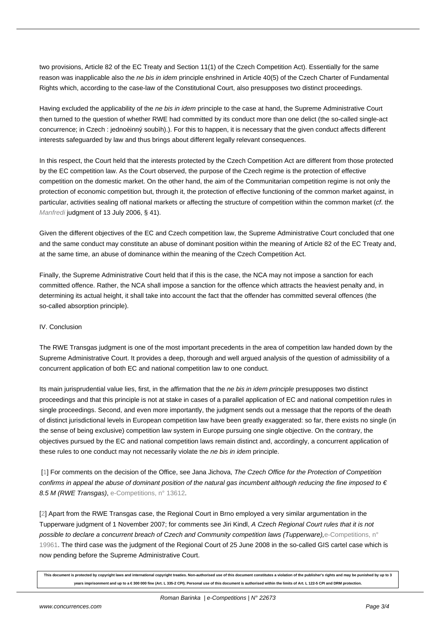two provisions, Article 82 of the EC Treaty and Section 11(1) of the Czech Competition Act). Essentially for the same reason was inapplicable also the ne bis in idem principle enshrined in Article 40(5) of the Czech Charter of Fundamental Rights which, according to the case-law of the Constitutional Court, also presupposes two distinct proceedings.

Having excluded the applicability of the ne bis in idem principle to the case at hand, the Supreme Administrative Court then turned to the question of whether RWE had committed by its conduct more than one delict (the so-called single-act concurrence; in Czech : jednoèinný soubìh).). For this to happen, it is necessary that the given conduct affects different interests safeguarded by law and thus brings about different legally relevant consequences.

In this respect, the Court held that the interests protected by the Czech Competition Act are different from those protected by the EC competition law. As the Court observed, the purpose of the Czech regime is the protection of effective competition on the domestic market. On the other hand, the aim of the Communitarian competition regime is not only the protection of economic competition but, through it, the protection of effective functioning of the common market against, in particular, activities sealing off national markets or affecting the structure of competition within the common market (cf. the Manfredi judgment of 13 July 2006, § 41).

Given the different objectives of the EC and Czech competition law, the Supreme Administrative Court concluded that one and the same conduct may constitute an abuse of dominant position within the meaning of Article 82 of the EC Treaty and, [at the sam](http://curia.europa.eu/jurisp/cgi-bin/form.pl?lang=en&Submit=Rechercher&docrequire=judgements&numaff=C-295/04)e time, an abuse of dominance within the meaning of the Czech Competition Act.

Finally, the Supreme Administrative Court held that if this is the case, the NCA may not impose a sanction for each committed offence. Rather, the NCA shall impose a sanction for the offence which attracts the heaviest penalty and, in determining its actual height, it shall take into account the fact that the offender has committed several offences (the so-called absorption principle).

#### IV. Conclusion

The RWE Transgas judgment is one of the most important precedents in the area of competition law handed down by the Supreme Administrative Court. It provides a deep, thorough and well argued analysis of the question of admissibility of a concurrent application of both EC and national competition law to one conduct.

Its main jurisprudential value lies, first, in the affirmation that the ne bis in idem principle presupposes two distinct proceedings and that this principle is not at stake in cases of a parallel application of EC and national competition rules in single proceedings. Second, and even more importantly, the judgment sends out a message that the reports of the death of distinct jurisdictional levels in European competition law have been greatly exaggerated: so far, there exists no single (in the sense of being exclusive) competition law system in Europe pursuing one single objective. On the contrary, the objectives pursued by the EC and national competition laws remain distinct and, accordingly, a concurrent application of these rules to one conduct may not necessarily violate the ne bis in idem principle.

 [1] For comments on the decision of the Office, see Jana Jichova, The Czech Office for the Protection of Competition confirms in appeal the abuse of dominant position of the natural gas incumbent although reducing the fine imposed to  $\epsilon$ 8.5 M (RWE Transgas), e-Competitions, n° 13612.

[[2\]](#nh1) Apart from the RWE Transgas case, the Regional Court in Brno employed a very similar argumentation in the Tupperware judgment of 1 November 2007; for comments see Jiri Kindl, A Czech Regional Court rules that it is not possible to declare a co[ncurrent breach of Czech a](http://www.concurrences.com/article_bulletin.php3?id_article=13612&lang=en)nd Community competition laws (Tupperware),e-Competitions, n° 19961. The third case was the judgment of the Regional Court of 25 June 2008 in the so-called GIS cartel case which is [no](#nh2)w pending before the Supreme Administrative Court.

**This document is protected by copyright laws and international copyright treaties. Non-authorised use of this document constitutes a violation of the publisher's [rights and may be punished by](http://www.concurrences.com/article_bulletin.php3?id_article=19961&lang=en) up to 3 years imprisonment and up to a € 300 000 fine (Art. L 335-2 CPI). Personal use of this document is authorised within the limits of Art. L 122-5 CPI and DRM protection.**